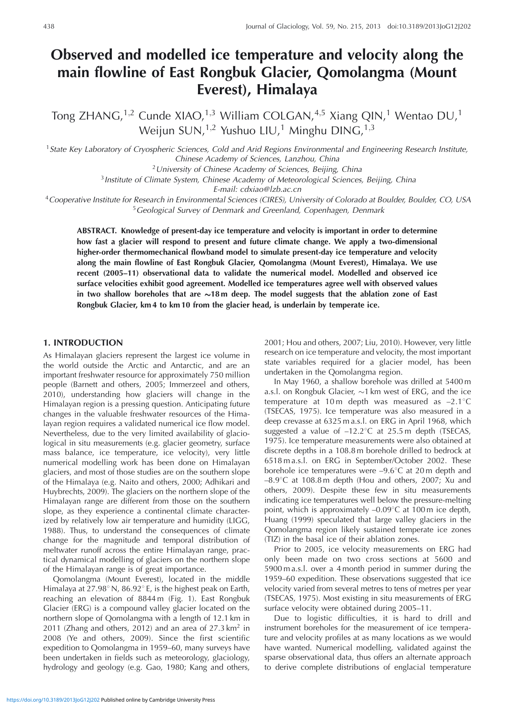# **Observed and modelled ice temperature and velocity along the main flowline of East Rongbuk Glacier, Qomolangma (Mount Everest), Himalaya**

Tong ZHANG,<sup>1,2</sup> Cunde XIAO,<sup>1,3</sup> William COLGAN,<sup>4,5</sup> Xiang QIN,<sup>1</sup> Wentao DU,<sup>1</sup> Weijun SUN,<sup>1,2</sup> Yushuo LIU,<sup>1</sup> Minghu DING,<sup>1,3</sup>

<sup>1</sup> State Key Laboratory of Cryospheric Sciences, Cold and Arid Regions Environmental and Engineering Research Institute, Chinese Academy of Sciences, Lanzhou, China

 $2$  University of Chinese Academy of Sciences, Beijing, China

<sup>3</sup> Institute of Climate System, Chinese Academy of Meteorological Sciences, Beijing, China

E-mail: cdxiao@lzb.ac.cn

<sup>4</sup>Cooperative Institute for Research in Environmental Sciences (CIRES), University of Colorado at Boulder, Boulder, CO, USA <sup>5</sup> Geological Survey of Denmark and Greenland, Copenhagen, Denmark

**ABSTRACT. Knowledge of present-day ice temperature and velocity is important in order to determine how fast a glacier will respond to present and future climate change. We apply a two-dimensional higher-order thermomechanical flowband model to simulate present-day ice temperature and velocity along the main flowline of East Rongbuk Glacier, Qomolangma (Mount Everest), Himalaya. We use recent (2005–11) observational data to validate the numerical model. Modelled and observed ice surface velocities exhibit good agreement. Modelled ice temperatures agree well with observed values** in two shallow boreholes that are  $\sim$ 18 $\,$ m deep. The model suggests that the ablation zone of East **Rongbuk Glacier, km 4 to km 10 from the glacier head, is underlain by temperate ice.**

## **1. INTRODUCTION**

As Himalayan glaciers represent the largest ice volume in the world outside the Arctic and Antarctic, and are an important freshwater resource for approximately 750 million people (Barnett and others, 2005; Immerzeel and others, 2010), understanding how glaciers will change in the Himalayan region is a pressing question. Anticipating future changes in the valuable freshwater resources of the Himalayan region requires a validated numerical ice flow model. Nevertheless, due to the very limited availability of glaciological in situ measurements (e.g. glacier geometry, surface mass balance, ice temperature, ice velocity), very little numerical modelling work has been done on Himalayan glaciers, and most of those studies are on the southern slope of the Himalaya (e.g. Naito and others, 2000; Adhikari and Huybrechts, 2009). The glaciers on the northern slope of the Himalayan range are different from those on the southern slope, as they experience a continental climate characterized by relatively low air temperature and humidity (LIGG, 1988). Thus, to understand the consequences of climate change for the magnitude and temporal distribution of meltwater runoff across the entire Himalayan range, practical dynamical modelling of glaciers on the northern slope of the Himalayan range is of great importance.

Qomolangma (Mount Everest), located in the middle Himalaya at  $27.98^{\circ}$  N,  $86.92^{\circ}$  E, is the highest peak on Earth, reaching an elevation of 8844 m (Fig. 1). East Rongbuk Glacier (ERG) is a compound valley glacier located on the northern slope of Qomolangma with a length of 12.1 km in 2011 (Zhang and others, 2012) and an area of  $27.3 \text{ km}^2$  in 2008 (Ye and others, 2009). Since the first scientific expedition to Qomolangma in 1959–60, many surveys have been undertaken in fields such as meteorology, glaciology, hydrology and geology (e.g. Gao, 1980; Kang and others,

2001; Hou and others, 2007; Liu, 2010). However, very little research on ice temperature and velocity, the most important state variables required for a glacier model, has been undertaken in the Qomolangma region.

In May 1960, a shallow borehole was drilled at 5400 m a.s.l. on Rongbuk Glacier,  $\sim$ 1 km west of ERG, and the ice temperature at 10 m depth was measured as  $-2.1^{\circ}$ C (TSECAS, 1975). Ice temperature was also measured in a deep crevasse at 6325 m a.s.l. on ERG in April 1968, which suggested a value of  $-12.2^{\circ}$ C at 25.5 m depth (TSECAS, 1975). Ice temperature measurements were also obtained at discrete depths in a 108.8 m borehole drilled to bedrock at 6518 m a.s.l. on ERG in September/October 2002. These borehole ice temperatures were  $-9.6^{\circ}$ C at 20 m depth and  $-8.9^{\circ}$ C at 108.8 m depth (Hou and others, 2007; Xu and others, 2009). Despite these few in situ measurements indicating ice temperatures well below the pressure-melting point, which is approximately  $-0.09^{\circ}$ C at 100 m ice depth, Huang (1999) speculated that large valley glaciers in the Qomolangma region likely sustained temperate ice zones (TIZ) in the basal ice of their ablation zones.

Prior to 2005, ice velocity measurements on ERG had only been made on two cross sections at 5600 and 5900 m a.s.l. over a 4 month period in summer during the 1959–60 expedition. These observations suggested that ice velocity varied from several metres to tens of metres per year (TSECAS, 1975). Most existing in situ measurements of ERG surface velocity were obtained during 2005–11.

Due to logistic difficulties, it is hard to drill and instrument boreholes for the measurement of ice temperature and velocity profiles at as many locations as we would have wanted. Numerical modelling, validated against the sparse observational data, thus offers an alternate approach to derive complete distributions of englacial temperature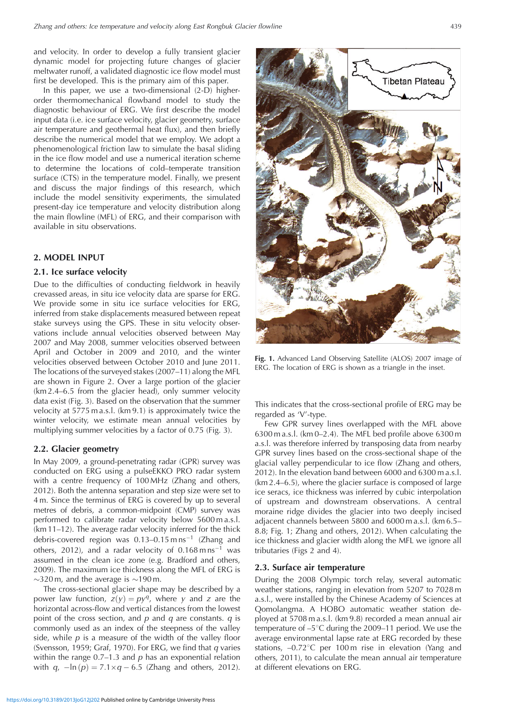and velocity. In order to develop a fully transient glacier dynamic model for projecting future changes of glacier meltwater runoff, a validated diagnostic ice flow model must first be developed. This is the primary aim of this paper.

In this paper, we use a two-dimensional (2-D) higherorder thermomechanical flowband model to study the diagnostic behaviour of ERG. We first describe the model input data (i.e. ice surface velocity, glacier geometry, surface air temperature and geothermal heat flux), and then briefly describe the numerical model that we employ. We adopt a phenomenological friction law to simulate the basal sliding in the ice flow model and use a numerical iteration scheme to determine the locations of cold–temperate transition surface (CTS) in the temperature model. Finally, we present and discuss the major findings of this research, which include the model sensitivity experiments, the simulated present-day ice temperature and velocity distribution along the main flowline (MFL) of ERG, and their comparison with available in situ observations.

## **2. MODEL INPUT**

#### **2.1. Ice surface velocity**

Due to the difficulties of conducting fieldwork in heavily crevassed areas, in situ ice velocity data are sparse for ERG. We provide some in situ ice surface velocities for ERG, inferred from stake displacements measured between repeat stake surveys using the GPS. These in situ velocity observations include annual velocities observed between May 2007 and May 2008, summer velocities observed between April and October in 2009 and 2010, and the winter velocities observed between October 2010 and June 2011. The locations of the surveyed stakes (2007–11) along the MFL are shown in Figure 2. Over a large portion of the glacier (km 2.4–6.5 from the glacier head), only summer velocity data exist (Fig. 3). Based on the observation that the summer velocity at 5775 m a.s.l. (km 9.1) is approximately twice the winter velocity, we estimate mean annual velocities by multiplying summer velocities by a factor of 0.75 (Fig. 3).

#### **2.2. Glacier geometry**

In May 2009, a ground-penetrating radar (GPR) survey was conducted on ERG using a pulseEKKO PRO radar system with a centre frequency of 100 MHz (Zhang and others, 2012). Both the antenna separation and step size were set to 4 m. Since the terminus of ERG is covered by up to several metres of debris, a common-midpoint (CMP) survey was performed to calibrate radar velocity below 5600 m a.s.l. (km 11–12). The average radar velocity inferred for the thick debris-covered region was  $0.13-0.15$  m ns<sup>-1</sup> (Zhang and others, 2012), and a radar velocity of  $0.168 \text{ m} \text{ ns}^{-1}$  was assumed in the clean ice zone (e.g. Bradford and others, 2009). The maximum ice thickness along the MFL of ERG is  $\sim$ 320 m, and the average is  $\sim$ 190 m.

The cross-sectional glacier shape may be described by a power law function,  $z(y) = py^q$ , where y and z are the horizontal across-flow and vertical distances from the lowest point of the cross section, and  $p$  and  $q$  are constants.  $q$  is commonly used as an index of the steepness of the valley side, while  $p$  is a measure of the width of the valley floor (Svensson, 1959; Graf, 1970). For ERG, we find that  $q$  varies within the range  $0.7-1.3$  and  $p$  has an exponential relation with  $q$ ,  $-\ln (p) = 7.1 \times q - 6.5$  (Zhang and others, 2012).



**Fig. 1.** Advanced Land Observing Satellite (ALOS) 2007 image of ERG. The location of ERG is shown as a triangle in the inset.

This indicates that the cross-sectional profile of ERG may be regarded as 'V'-type.

Few GPR survey lines overlapped with the MFL above 6300 m a.s.l. (km 0–2.4). The MFL bed profile above 6300 m a.s.l. was therefore inferred by transposing data from nearby GPR survey lines based on the cross-sectional shape of the glacial valley perpendicular to ice flow (Zhang and others, 2012). In the elevation band between 6000 and 6300 m a.s.l. (km 2.4–6.5), where the glacier surface is composed of large ice seracs, ice thickness was inferred by cubic interpolation of upstream and downstream observations. A central moraine ridge divides the glacier into two deeply incised adjacent channels between 5800 and 6000 m a.s.l. (km 6.5– 8.8; Fig. 1; Zhang and others, 2012). When calculating the ice thickness and glacier width along the MFL we ignore all tributaries (Figs 2 and 4).

#### **2.3. Surface air temperature**

During the 2008 Olympic torch relay, several automatic weather stations, ranging in elevation from 5207 to 7028 m a.s.l., were installed by the Chinese Academy of Sciences at Qomolangma. A HOBO automatic weather station deployed at 5708 m a.s.l. (km 9.8) recorded a mean annual air temperature of  $-5^{\circ}$ C during the 2009–11 period. We use the average environmental lapse rate at ERG recorded by these stations,  $-0.72^{\circ}$ C per 100 m rise in elevation (Yang and others, 2011), to calculate the mean annual air temperature at different elevations on ERG.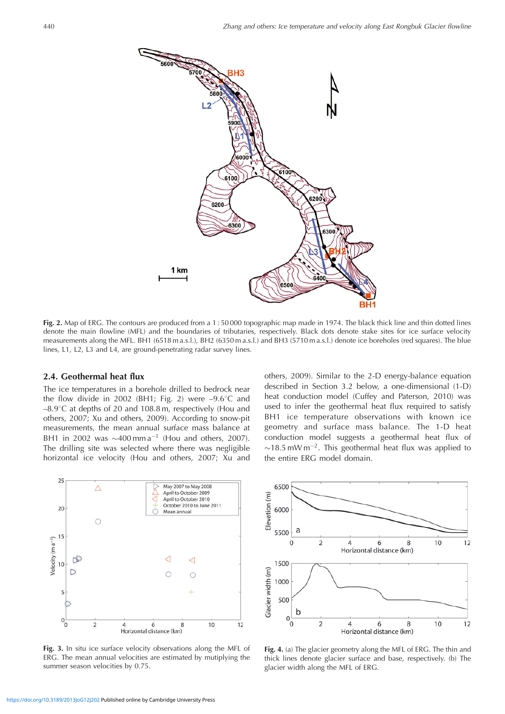

**Fig. 2.** Map of ERG. The contours are produced from a 1 : 50 000 topographic map made in 1974. The black thick line and thin dotted lines denote the main flowline (MFL) and the boundaries of tributaries, respectively. Black dots denote stake sites for ice surface velocity measurements along the MFL. BH1 (6518 m a.s.l.), BH2 (6350 m a.s.l.) and BH3 (5710 m a.s.l.) denote ice boreholes (red squares). The blue lines, L1, L2, L3 and L4, are ground-penetrating radar survey lines.

## **2.4. Geothermal heat flux**

The ice temperatures in a borehole drilled to bedrock near the flow divide in 2002 (BH1; Fig. 2) were  $-9.6^{\circ}$ C and  $-8.9^{\circ}$ C at depths of 20 and 108.8 m, respectively (Hou and others, 2007; Xu and others, 2009). According to snow-pit measurements, the mean annual surface mass balance at BH1 in 2002 was  $\sim$ 400 mm a<sup>-1</sup> (Hou and others, 2007). The drilling site was selected where there was negligible horizontal ice velocity (Hou and others, 2007; Xu and

others, 2009). Similar to the 2-D energy-balance equation described in Section 3.2 below, a one-dimensional (1-D) heat conduction model (Cuffey and Paterson, 2010) was used to infer the geothermal heat flux required to satisfy BH1 ice temperature observations with known ice geometry and surface mass balance. The 1-D heat conduction model suggests a geothermal heat flux of  $\sim$ 18.5 mW m<sup>-2</sup>. This geothermal heat flux was applied to the entire ERG model domain.



**Fig. 3.** In situ ice surface velocity observations along the MFL of ERG. The mean annual velocities are estimated by mutiplying the summer season velocities by 0.75.



**Fig. 4.** (a) The glacier geometry along the MFL of ERG. The thin and thick lines denote glacier surface and base, respectively. (b) The glacier width along the MFL of ERG.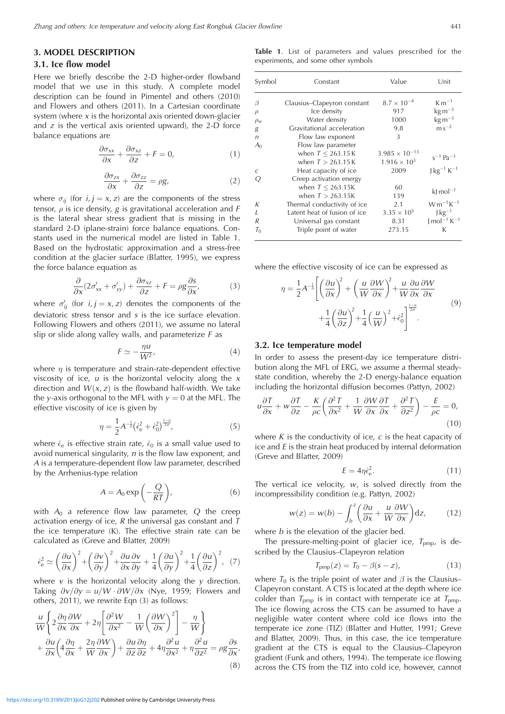## **3. MODEL DESCRIPTION**

## **3.1. Ice flow model**

Here we briefly describe the 2-D higher-order flowband model that we use in this study. A complete model description can be found in Pimentel and others (2010) and Flowers and others (2011). In a Cartesian coordinate system (where  $x$  is the horizontal axis oriented down-glacier and  $z$  is the vertical axis oriented upward), the 2-D force balance equations are

$$
\frac{\partial \sigma_{xx}}{\partial x} + \frac{\partial \sigma_{xz}}{\partial z} + F = 0, \tag{1}
$$

$$
\frac{\partial \sigma_{zx}}{\partial x} + \frac{\partial \sigma_{zz}}{\partial z} = \rho g,\tag{2}
$$

where  $\sigma_{ij}$  (for  $i, j = x, z$ ) are the components of the stress tensor,  $\rho$  is ice density, g is gravitational acceleration and F is the lateral shear stress gradient that is missing in the standard 2-D (plane-strain) force balance equations. Constants used in the numerical model are listed in Table 1. Based on the hydrostatic approximation and a stress-free condition at the glacier surface (Blatter, 1995), we express the force balance equation as

$$
\frac{\partial}{\partial x}(2\sigma'_{xx} + \sigma'_{yy}) + \frac{\partial \sigma_{xz}}{\partial z} + F = \rho g \frac{\partial s}{\partial x'},
$$
 (3)

where  $\sigma'_{ij}$  (for  $i,j = x,z$ ) denotes the components of the deviatoric stress tensor and  $s$  is the ice surface elevation. Following Flowers and others (2011), we assume no lateral slip or slide along valley walls, and parameterize  $F$  as

$$
F \simeq -\frac{\eta u}{W^2},\tag{4}
$$

where  $n$  is temperature and strain-rate-dependent effective viscosity of ice,  $u$  is the horizontal velocity along the  $x$ direction and  $W(x, z)$  is the flowband half-width. We take the y-axis orthogonal to the MFL with  $y = 0$  at the MFL. The effective viscosity of ice is given by

$$
\eta = \frac{1}{2} A^{-\frac{1}{n}} \left( \dot{\epsilon}_{e}^{2} + \dot{\epsilon}_{0}^{2} \right)^{\frac{1-n}{2n}},\tag{5}
$$

where  $\dot{\epsilon}_e$  is effective strain rate,  $\dot{\epsilon}_0$  is a small value used to avoid numerical singularity,  $n$  is the flow law exponent, and A is a temperature-dependent flow law parameter, described by the Arrhenius-type relation

$$
A = A_0 \exp\left(-\frac{Q}{RT}\right),\tag{6}
$$

with  $A_0$  a reference flow law parameter, Q the creep activation energy of ice,  $R$  the universal gas constant and  $T$ the ice temperature (K). The effective strain rate can be calculated as (Greve and Blatter, 2009)

$$
\dot{\epsilon}_{\rm e}^2 \simeq \left(\frac{\partial u}{\partial x}\right)^2 + \left(\frac{\partial v}{\partial y}\right)^2 + \frac{\partial u}{\partial x}\frac{\partial v}{\partial y} + \frac{1}{4}\left(\frac{\partial u}{\partial y}\right)^2 + \frac{1}{4}\left(\frac{\partial u}{\partial z}\right)^2, \tag{7}
$$

where  $v$  is the horizontal velocity along the  $y$  direction. Taking  $\partial v/\partial y = u/W \cdot \partial W/\partial x$  (Nye, 1959; Flowers and others, 2011), we rewrite Eqn (3) as follows:

$$
\frac{u}{W} \left\{ 2 \frac{\partial \eta}{\partial x} \frac{\partial W}{\partial x} + 2 \eta \left[ \frac{\partial^2 W}{\partial x^2} - \frac{1}{W} \left( \frac{\partial W}{\partial x} \right)^2 \right] - \frac{\eta}{W} \right\} \n+ \frac{\partial u}{\partial x} \left( 4 \frac{\partial \eta}{\partial x} + \frac{2 \eta}{W} \frac{\partial W}{\partial x} \right) + \frac{\partial u}{\partial z} \frac{\partial \eta}{\partial z} + 4 \eta \frac{\partial^2 u}{\partial x^2} + \eta \frac{\partial^2 u}{\partial z^2} = \rho g \frac{\partial s}{\partial x},
$$
\n(8)

**Table 1**. List of parameters and values prescribed for the experiments, and some other symbols

| Symbol         | Constant                     | Value                   | Unit                           |
|----------------|------------------------------|-------------------------|--------------------------------|
| β              | Clausius–Clapeyron constant  | $8.7 \times 10^{-4}$    | $\rm{K\,m^{-1}}$               |
| $\rho$         | Ice density                  | 917                     | $\text{kg m}^{-3}$             |
| $\rho_{\rm w}$ | Water density                | 1000                    | $\text{kg m}^{-3}$             |
| g              | Gravitational acceleration   | 9.8                     | $\rm m\,s^{-2}$                |
| n              | Flow law exponent            | 3                       |                                |
| A <sub>0</sub> | Flow law parameter           |                         |                                |
|                | when $T < 263.15 K$          | $3.985 \times 10^{-13}$ |                                |
|                | when $T > 263.15 K$          | $1.916 \times 10^{3}$   | $s^{-1}$ Pa <sup>-3</sup>      |
| C              | Heat capacity of ice         | 2009                    | $J kg^{-1} K^{-1}$             |
| Q              | Creep activation energy      |                         |                                |
|                | when $T < 263.15K$           | 60                      |                                |
|                | when $T > 263.15K$           | 139                     | $\mathrm{k}$ mol <sup>-1</sup> |
| K              | Thermal conductivity of ice  | 2.1                     | $W m^{-1} K^{-1}$              |
| $\overline{I}$ | Latent heat of fusion of ice | $3.35 \times 10^{5}$    | $J \text{kg}^{-1}$             |
| R              | Universal gas constant       | 8.31                    | $J \text{ mol}^{-1} K^{-1}$    |
| $T_{0}$        | Triple point of water        | 273.15                  | K                              |

where the effective viscosity of ice can be expressed as

$$
\eta = \frac{1}{2} A^{-\frac{1}{n}} \left[ \left( \frac{\partial u}{\partial x} \right)^2 + \left( \frac{u}{W} \frac{\partial W}{\partial x} \right)^2 + \frac{u}{W} \frac{\partial u}{\partial x} \frac{\partial W}{\partial x} + \frac{1}{4} \left( \frac{\partial u}{\partial z} \right)^2 + \frac{1}{4} \left( \frac{u}{W} \right)^2 + \dot{\epsilon}_0^2 \right]^{1-\frac{n}{2n}}.
$$
\n(9)

#### **3.2. Ice temperature model**

In order to assess the present-day ice temperature distribution along the MFL of ERG, we assume a thermal steadystate condition, whereby the 2-D energy-balance equation including the horizontal diffusion becomes (Pattyn, 2002)

$$
u\frac{\partial T}{\partial x} + w\frac{\partial T}{\partial z} - \frac{K}{\rho c} \left( \frac{\partial^2 T}{\partial x^2} + \frac{1}{W} \frac{\partial W}{\partial x} \frac{\partial T}{\partial x} + \frac{\partial^2 T}{\partial z^2} \right) - \frac{E}{\rho c} = 0,
$$
\n(10)

where K is the conductivity of ice,  $c$  is the heat capacity of ice and  $E$  is the strain heat produced by internal deformation (Greve and Blatter, 2009)

$$
E = 4\eta \dot{\epsilon}_{\rm e}^2. \tag{11}
$$

The vertical ice velocity,  $w$ , is solved directly from the incompressibility condition (e.g. Pattyn, 2002)

$$
w(z) = w(b) - \int_b^z \left(\frac{\partial u}{\partial x} + \frac{u}{W} \frac{\partial W}{\partial x}\right) dz, \quad (12)
$$

where  $b$  is the elevation of the glacier bed.

The pressure-melting-point of glacier ice,  $T_{\text{pmp}}$ , is described by the Clausius–Clapeyron relation

$$
T_{\rm pmp}(z) = T_0 - \beta(s - z), \qquad (13)
$$

where  $T_0$  is the triple point of water and  $\beta$  is the Clausius– Clapeyron constant. A CTS is located at the depth where ice colder than  $T_{pmp}$  is in contact with temperate ice at  $T_{pmp}$ . The ice flowing across the CTS can be assumed to have a negligible water content where cold ice flows into the temperate ice zone (TIZ) (Blatter and Hutter, 1991; Greve and Blatter, 2009). Thus, in this case, the ice temperature gradient at the CTS is equal to the Clausius–Clapeyron gradient (Funk and others, 1994). The temperate ice flowing across the CTS from the TIZ into cold ice, however, cannot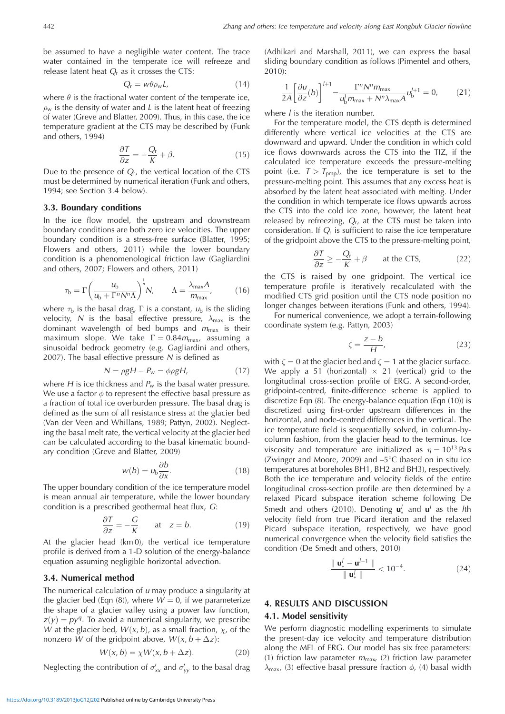be assumed to have a negligible water content. The trace water contained in the temperate ice will refreeze and release latent heat  $Q<sub>r</sub>$  as it crosses the CTS:

$$
Q_{\rm r} = w\theta \rho_{\rm w} L, \tag{14}
$$

where  $\theta$  is the fractional water content of the temperate ice,  $\rho_w$  is the density of water and L is the latent heat of freezing of water (Greve and Blatter, 2009). Thus, in this case, the ice temperature gradient at the CTS may be described by (Funk and others, 1994)

$$
\frac{\partial T}{\partial z} = -\frac{Q_{\rm r}}{K} + \beta. \tag{15}
$$

Due to the presence of  $Q_r$ , the vertical location of the CTS must be determined by numerical iteration (Funk and others, 1994; see Section 3.4 below).

## **3.3. Boundary conditions**

In the ice flow model, the upstream and downstream boundary conditions are both zero ice velocities. The upper boundary condition is a stress-free surface (Blatter, 1995; Flowers and others, 2011) while the lower boundary condition is a phenomenological friction law (Gagliardini and others, 2007; Flowers and others, 2011)

$$
\tau_{\rm b} = \Gamma \left( \frac{u_{\rm b}}{u_{\rm b} + \Gamma^n N^n \Lambda} \right)^{\frac{1}{n}} N, \qquad \Lambda = \frac{\lambda_{\rm max} A}{m_{\rm max}}, \tag{16}
$$

where  $\tau_{\rm b}$  is the basal drag,  $\Gamma$  is a constant,  $\mathit{u}_{\rm b}$  is the sliding velocity, N is the basal effective pressure,  $\lambda_{\text{max}}$  is the dominant wavelength of bed bumps and  $m_{\text{max}}$  is their maximum slope. We take  $\Gamma = 0.84 m_{\text{max}}$ , assuming a sinusoidal bedrock geometry (e.g. Gagliardini and others, 2007). The basal effective pressure  $N$  is defined as

$$
N = \rho g H - P_w = \phi \rho g H, \qquad (17)
$$

where  $H$  is ice thickness and  $P_w$  is the basal water pressure. We use a factor  $\phi$  to represent the effective basal pressure as a fraction of total ice overburden pressure. The basal drag is defined as the sum of all resistance stress at the glacier bed (Van der Veen and Whillans, 1989; Pattyn, 2002). Neglecting the basal melt rate, the vertical velocity at the glacier bed can be calculated according to the basal kinematic boundary condition (Greve and Blatter, 2009)

$$
w(b) = ub \frac{\partial b}{\partial x}.
$$
 (18)

The upper boundary condition of the ice temperature model is mean annual air temperature, while the lower boundary condition is a prescribed geothermal heat flux, G:

$$
\frac{\partial T}{\partial z} = -\frac{G}{K} \quad \text{at} \quad z = b. \tag{19}
$$

At the glacier head (km 0), the vertical ice temperature profile is derived from a 1-D solution of the energy-balance equation assuming negligible horizontal advection.

## **3.4. Numerical method**

The numerical calculation of  $u$  may produce a singularity at the glacier bed (Eqn (8)), where  $W = 0$ , if we parameterize the shape of a glacier valley using a power law function,  $z(y) = py<sup>q</sup>$ . To avoid a numerical singularity, we prescribe W at the glacier bed,  $W(x, b)$ , as a small fraction,  $\chi$ , of the nonzero *W* of the gridpoint above,  $W(x, b + \Delta z)$ :

$$
W(x, b) = \chi W(x, b + \Delta z). \tag{20}
$$

Neglecting the contribution of  $\sigma'_{xx}$  and  $\sigma'_{yy}$  to the basal drag

(Adhikari and Marshall, 2011), we can express the basal sliding boundary condition as follows (Pimentel and others, 2010):

$$
\frac{1}{2A} \left[ \frac{\partial u}{\partial z}(b) \right]^{l+1} - \frac{\Gamma^n N^n m_{\text{max}}}{u_b^l m_{\text{max}} + N^n \lambda_{\text{max}} A} u_b^{l+1} = 0, \quad (21)
$$

where  $l$  is the iteration number.

For the temperature model, the CTS depth is determined differently where vertical ice velocities at the CTS are downward and upward. Under the condition in which cold ice flows downwards across the CTS into the TIZ, if the calculated ice temperature exceeds the pressure-melting point (i.e.  $T > T_{\text{pmp}}$ ), the ice temperature is set to the pressure-melting point. This assumes that any excess heat is absorbed by the latent heat associated with melting. Under the condition in which temperate ice flows upwards across the CTS into the cold ice zone, however, the latent heat released by refreezing,  $Q_r$ , at the CTS must be taken into consideration. If  $Q<sub>r</sub>$  is sufficient to raise the ice temperature of the gridpoint above the CTS to the pressure-melting point,

$$
\frac{\partial T}{\partial z} \ge -\frac{Q_r}{K} + \beta \qquad \text{at the CTS}, \tag{22}
$$

the CTS is raised by one gridpoint. The vertical ice temperature profile is iteratively recalculated with the modified CTS grid position until the CTS node position no longer changes between iterations (Funk and others, 1994).

For numerical convenience, we adopt a terrain-following coordinate system (e.g. Pattyn, 2003)

$$
\zeta = \frac{z - b}{H},\tag{23}
$$

with  $\zeta = 0$  at the glacier bed and  $\zeta = 1$  at the glacier surface. We apply a 51 (horizontal)  $\times$  21 (vertical) grid to the longitudinal cross-section profile of ERG. A second-order, gridpoint-centred, finite-difference scheme is applied to discretize Eqn (8). The energy-balance equation (Eqn (10)) is discretized using first-order upstream differences in the horizontal, and node-centred differences in the vertical. The ice temperature field is sequentially solved, in column-bycolumn fashion, from the glacier head to the terminus. Ice viscosity and temperature are initialized as  $\eta = 10^{13}$  Pa s (Zwinger and Moore, 2009) and  $-5^{\circ}$ C (based on in situ ice temperatures at boreholes BH1, BH2 and BH3), respectively. Both the ice temperature and velocity fields of the entire longitudinal cross-section profile are then determined by a relaxed Picard subspace iteration scheme following De Smedt and others (2010). Denoting  $\mathbf{u}'_k$  and  $\mathbf{u}'$  as the *l*th velocity field from true Picard iteration and the relaxed Picard subspace iteration, respectively, we have good numerical convergence when the velocity field satisfies the condition (De Smedt and others, 2010)

$$
\frac{\|\mathbf{u}'_{*} - \mathbf{u}'^{-1}\|}{\|\mathbf{u}'_{*}\|} < 10^{-4}.\tag{24}
$$

#### **4. RESULTS AND DISCUSSION**

## **4.1. Model sensitivity**

We perform diagnostic modelling experiments to simulate the present-day ice velocity and temperature distribution along the MFL of ERG. Our model has six free parameters: (1) friction law parameter  $m_{\text{max}}$  (2) friction law parameter  $\lambda_{\text{max}}$ , (3) effective basal pressure fraction  $\phi$ , (4) basal width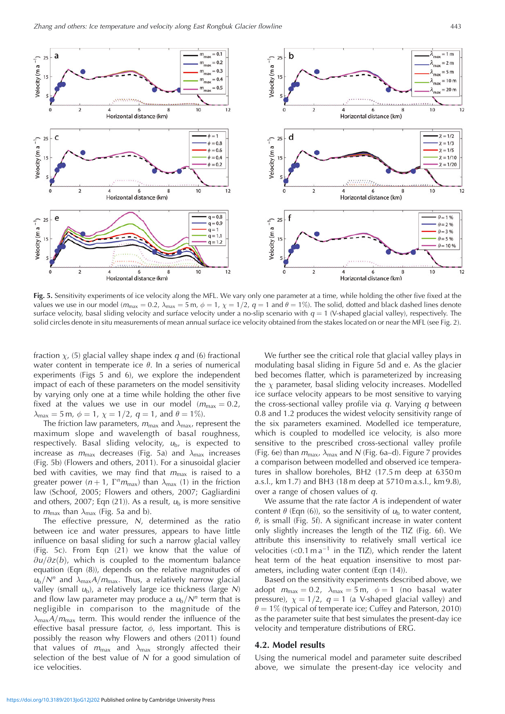

**Fig. 5.** Sensitivity experiments of ice velocity along the MFL. We vary only one parameter at a time, while holding the other five fixed at the values we use in our model ( $m_{\text{max}} = 0.2$ ,  $\lambda_{\text{max}} = 5$  m,  $\phi = 1$ ,  $\chi = 1/2$ ,  $q = 1$  and  $\theta = 1\%$ ). The solid, dotted and black dashed lines denote surface velocity, basal sliding velocity and surface velocity under a no-slip scenario with  $q = 1$  (V-shaped glacial valley), respectively. The solid circles denote in situ measurements of mean annual surface ice velocity obtained from the stakes located on or near the MFL (see Fig. 2).

fraction  $\chi$ , (5) glacial valley shape index q and (6) fractional water content in temperate ice  $\theta$ . In a series of numerical experiments (Figs 5 and 6), we explore the independent impact of each of these parameters on the model sensitivity by varying only one at a time while holding the other five fixed at the values we use in our model  $(m_{\text{max}} = 0.2)$ ,  $\lambda_{\text{max}} = 5 \text{ m}, \ \phi = 1, \ \chi = 1/2, \ q = 1, \ \text{and} \ \theta = 1\%$ ).

The friction law parameters,  $m_{\text{max}}$  and  $\lambda_{\text{max}}$ , represent the maximum slope and wavelength of basal roughness, respectively. Basal sliding velocity,  $u<sub>b</sub>$ , is expected to increase as  $m_{\text{max}}$  decreases (Fig. 5a) and  $\lambda_{\text{max}}$  increases (Fig. 5b) (Flowers and others, 2011). For a sinusoidal glacier bed with cavities, we may find that  $m_{\text{max}}$  is raised to a greater power  $(n + 1, \Gamma^n m_{\text{max}})$  than  $\lambda_{\text{max}}$  (1) in the friction law (Schoof, 2005; Flowers and others, 2007; Gagliardini and others, 2007; Eqn (21)). As a result,  $u<sub>b</sub>$  is more sensitive to  $m_{\text{max}}$  than  $\lambda_{\text{max}}$  (Fig. 5a and b).

The effective pressure,  $N$ , determined as the ratio between ice and water pressures, appears to have little influence on basal sliding for such a narrow glacial valley (Fig. 5c). From Eqn (21) we know that the value of  $\partial u/\partial z(b)$ , which is coupled to the momentum balance equation (Eqn (8)), depends on the relative magnitudes of  $u_{\rm b}/N^n$  and  $\lambda_{\rm max}A/m_{\rm max}$ . Thus, a relatively narrow glacial valley (small  $u<sub>b</sub>$ ), a relatively large ice thickness (large N) and flow law parameter may produce a  $u<sub>b</sub>/N<sup>n</sup>$  term that is negligible in comparison to the magnitude of the  $\lambda_{\text{max}}A/m_{\text{max}}$  term. This would render the influence of the effective basal pressure factor, , less important. This is possibly the reason why Flowers and others (2011) found that values of  $m_{\text{max}}$  and  $\lambda_{\text{max}}$  strongly affected their selection of the best value of  $N$  for a good simulation of ice velocities.

We further see the critical role that glacial valley plays in modulating basal sliding in Figure 5d and e. As the glacier bed becomes flatter, which is parameterized by increasing the  $\chi$  parameter, basal sliding velocity increases. Modelled ice surface velocity appears to be most sensitive to varying the cross-sectional valley profile via  $q$ . Varying  $q$  between 0.8 and 1.2 produces the widest velocity sensitivity range of the six parameters examined. Modelled ice temperature, which is coupled to modelled ice velocity, is also more sensitive to the prescribed cross-sectional valley profile (Fig. 6e) than  $m_{\text{max}}$ ,  $\lambda_{\text{max}}$  and N (Fig. 6a–d). Figure 7 provides a comparison between modelled and observed ice temperatures in shallow boreholes, BH2 (17.5 m deep at 6350 m a.s.l., km 1.7) and BH3 (18 m deep at 5710 m a.s.l., km 9.8), over a range of chosen values of q.

We assume that the rate factor A is independent of water content  $\theta$  (Eqn (6)), so the sensitivity of  $u<sub>b</sub>$  to water content,  $\theta$ , is small (Fig. 5f). A significant increase in water content only slightly increases the length of the TIZ (Fig. 6f). We attribute this insensitivity to relatively small vertical ice velocities  $\langle$ <0.1 m a<sup>-1</sup> in the TIZ), which render the latent heat term of the heat equation insensitive to most parameters, including water content (Eqn (14)).

Based on the sensitivity experiments described above, we adopt  $m_{\text{max}} = 0.2$ ,  $\lambda_{\text{max}} = 5$  m,  $\phi = 1$  (no basal water pressure),  $\chi = 1/2$ ,  $q = 1$  (a V-shaped glacial valley) and  $\theta = 1\%$  (typical of temperate ice; Cuffey and Paterson, 2010) as the parameter suite that best simulates the present-day ice velocity and temperature distributions of ERG.

## **4.2. Model results**

Using the numerical model and parameter suite described above, we simulate the present-day ice velocity and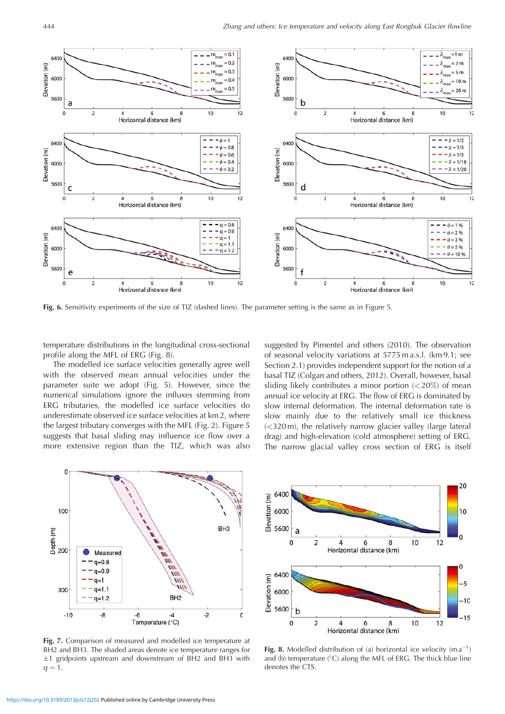

**Fig. 6.** Sensitivity experiments of the size of TIZ (dashed lines). The parameter setting is the same as in Figure 5.

temperature distributions in the longitudinal cross-sectional profile along the MFL of ERG (Fig. 8).

The modelled ice surface velocities generally agree well with the observed mean annual velocities under the parameter suite we adopt (Fig. 5). However, since the numerical simulations ignore the influxes stemming from ERG tributaries, the modelled ice surface velocities do underestimate observed ice surface velocities at km 2, where the largest tributary converges with the MFL (Fig. 2). Figure 5 suggests that basal sliding may influence ice flow over a more extensive region than the TIZ, which was also

suggested by Pimentel and others (2010). The observation of seasonal velocity variations at 5775 m a.s.l. (km 9.1; see Section 2.1) provides independent support for the notion of a basal TIZ (Colgan and others, 2012). Overall, however, basal sliding likely contributes a minor portion (*<*20%) of mean annual ice velocity at ERG. The flow of ERG is dominated by slow internal deformation. The internal deformation rate is slow mainly due to the relatively small ice thickness (*<*320 m), the relatively narrow glacier valley (large lateral drag) and high-elevation (cold atmosphere) setting of ERG. The narrow glacial valley cross section of ERG is itself



**Fig. 7.** Comparison of measured and modelled ice temperature at BH2 and BH3. The shaded areas denote ice temperature ranges for  $\pm$ 1 gridpoints upstream and downstream of BH2 and BH3 with  $q = 1.$ 



Fig. 8. Modelled distribution of (a) horizontal ice velocity  $(m a^{-1})$ and (b) temperature ( C) along the MFL of ERG. The thick blue line denotes the CTS.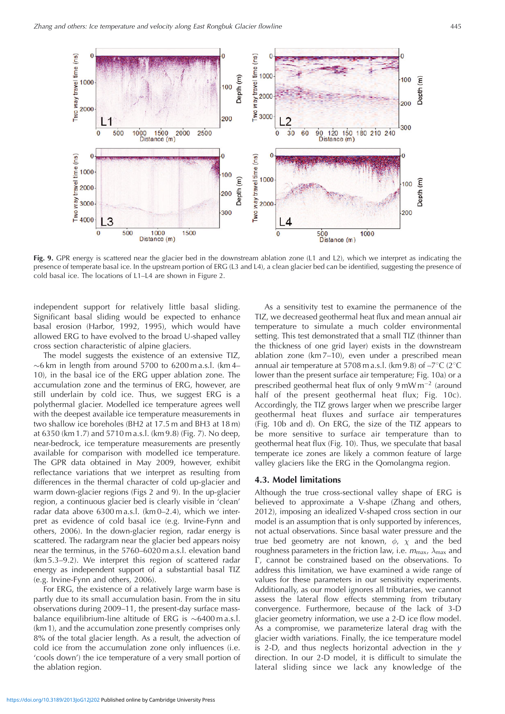

**Fig. 9.** GPR energy is scattered near the glacier bed in the downstream ablation zone (L1 and L2), which we interpret as indicating the presence of temperate basal ice. In the upstream portion of ERG (L3 and L4), a clean glacier bed can be identified, suggesting the presence of cold basal ice. The locations of L1–L4 are shown in Figure 2.

independent support for relatively little basal sliding. Significant basal sliding would be expected to enhance basal erosion (Harbor, 1992, 1995), which would have allowed ERG to have evolved to the broad U-shaped valley cross section characteristic of alpine glaciers.

The model suggests the existence of an extensive TIZ,  $\sim$ 6 km in length from around 5700 to 6200 m a.s.l. (km 4– 10), in the basal ice of the ERG upper ablation zone. The accumulation zone and the terminus of ERG, however, are still underlain by cold ice. Thus, we suggest ERG is a polythermal glacier. Modelled ice temperature agrees well with the deepest available ice temperature measurements in two shallow ice boreholes (BH2 at 17.5 m and BH3 at 18 m) at 6350 (km 1.7) and 5710 m a.s.l. (km 9.8) (Fig. 7). No deep, near-bedrock, ice temperature measurements are presently available for comparison with modelled ice temperature. The GPR data obtained in May 2009, however, exhibit reflectance variations that we interpret as resulting from differences in the thermal character of cold up-glacier and warm down-glacier regions (Figs 2 and 9). In the up-glacier region, a continuous glacier bed is clearly visible in 'clean' radar data above 6300 m a.s.l. (km 0–2.4), which we interpret as evidence of cold basal ice (e.g. Irvine-Fynn and others, 2006). In the down-glacier region, radar energy is scattered. The radargram near the glacier bed appears noisy near the terminus, in the 5760–6020 m a.s.l. elevation band (km 5.3–9.2). We interpret this region of scattered radar energy as independent support of a substantial basal TIZ (e.g. Irvine-Fynn and others, 2006).

For ERG, the existence of a relatively large warm base is partly due to its small accumulation basin. From the in situ observations during 2009–11, the present-day surface massbalance equilibrium-line altitude of ERG is  $\sim$ 6400 m a.s.l. (km 1), and the accumulation zone presently comprises only 8% of the total glacier length. As a result, the advection of cold ice from the accumulation zone only influences (i.e. 'cools down') the ice temperature of a very small portion of the ablation region.

As a sensitivity test to examine the permanence of the TIZ, we decreased geothermal heat flux and mean annual air temperature to simulate a much colder environmental setting. This test demonstrated that a small TIZ (thinner than the thickness of one grid layer) exists in the downstream ablation zone (km 7–10), even under a prescribed mean annual air temperature at 5708 m a.s.l. (km 9.8) of  $-7^{\circ}$ C (2<sup>o</sup>C lower than the present surface air temperature; Fig. 10a) or a prescribed geothermal heat flux of only  $9 \text{ mW m}^{-2}$  (around half of the present geothermal heat flux; Fig. 10c). Accordingly, the TIZ grows larger when we prescribe larger geothermal heat fluxes and surface air temperatures (Fig. 10b and d). On ERG, the size of the TIZ appears to be more sensitive to surface air temperature than to geothermal heat flux (Fig. 10). Thus, we speculate that basal temperate ice zones are likely a common feature of large valley glaciers like the ERG in the Qomolangma region.

## **4.3. Model limitations**

Although the true cross-sectional valley shape of ERG is believed to approximate a V-shape (Zhang and others, 2012), imposing an idealized V-shaped cross section in our model is an assumption that is only supported by inferences, not actual observations. Since basal water pressure and the true bed geometry are not known,  $\phi$ ,  $\chi$  and the bed roughness parameters in the friction law, i.e.  $m_{\text{max}}$ ,  $\lambda_{\text{max}}$  and -, cannot be constrained based on the observations. To address this limitation, we have examined a wide range of values for these parameters in our sensitivity experiments. Additionally, as our model ignores all tributaries, we cannot assess the lateral flow effects stemming from tributary convergence. Furthermore, because of the lack of 3-D glacier geometry information, we use a 2-D ice flow model. As a compromise, we parameterize lateral drag with the glacier width variations. Finally, the ice temperature model is 2-D, and thus neglects horizontal advection in the  $y$ direction. In our 2-D model, it is difficult to simulate the lateral sliding since we lack any knowledge of the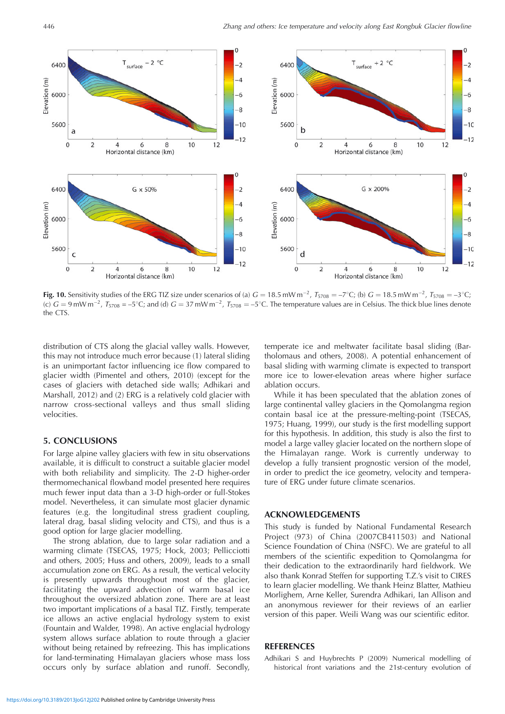

**Fig. 10.** Sensitivity studies of the ERG TIZ size under scenarios of (a)  $G = 18.5$  mW m<sup>-2</sup>,  $T_{5708} = -7^{\circ}$ C; (b)  $G = 18.5$  mW m<sup>-2</sup>,  $T_{5708} = -3^{\circ}$ C; (c)  $G = 9$  mW m<sup>-2</sup>,  $T_{5708} = -5^{\circ}$ C; and (d)  $G = 37$  mW m<sup>-2</sup>,  $T_{5708} = -5^{\circ}$ C. The temperature values are in Celsius. The thick blue lines denote the CTS.

distribution of CTS along the glacial valley walls. However, this may not introduce much error because (1) lateral sliding is an unimportant factor influencing ice flow compared to glacier width (Pimentel and others, 2010) (except for the cases of glaciers with detached side walls; Adhikari and Marshall, 2012) and (2) ERG is a relatively cold glacier with narrow cross-sectional valleys and thus small sliding velocities.

## **5. CONCLUSIONS**

For large alpine valley glaciers with few in situ observations available, it is difficult to construct a suitable glacier model with both reliability and simplicity. The 2-D higher-order thermomechanical flowband model presented here requires much fewer input data than a 3-D high-order or full-Stokes model. Nevertheless, it can simulate most glacier dynamic features (e.g. the longitudinal stress gradient coupling, lateral drag, basal sliding velocity and CTS), and thus is a good option for large glacier modelling.

The strong ablation, due to large solar radiation and a warming climate (TSECAS, 1975; Hock, 2003; Pellicciotti and others, 2005; Huss and others, 2009), leads to a small accumulation zone on ERG. As a result, the vertical velocity is presently upwards throughout most of the glacier, facilitating the upward advection of warm basal ice throughout the oversized ablation zone. There are at least two important implications of a basal TIZ. Firstly, temperate ice allows an active englacial hydrology system to exist (Fountain and Walder, 1998). An active englacial hydrology system allows surface ablation to route through a glacier without being retained by refreezing. This has implications for land-terminating Himalayan glaciers whose mass loss occurs only by surface ablation and runoff. Secondly, temperate ice and meltwater facilitate basal sliding (Bartholomaus and others, 2008). A potential enhancement of basal sliding with warming climate is expected to transport more ice to lower-elevation areas where higher surface ablation occurs.

While it has been speculated that the ablation zones of large continental valley glaciers in the Qomolangma region contain basal ice at the pressure-melting-point (TSECAS, 1975; Huang, 1999), our study is the first modelling support for this hypothesis. In addition, this study is also the first to model a large valley glacier located on the northern slope of the Himalayan range. Work is currently underway to develop a fully transient prognostic version of the model, in order to predict the ice geometry, velocity and temperature of ERG under future climate scenarios.

# **ACKNOWLEDGEMENTS**

This study is funded by National Fundamental Research Project (973) of China (2007CB411503) and National Science Foundation of China (NSFC). We are grateful to all members of the scientific expedition to Qomolangma for their dedication to the extraordinarily hard fieldwork. We also thank Konrad Steffen for supporting T.Z.'s visit to CIRES to learn glacier modelling. We thank Heinz Blatter, Mathieu Morlighem, Arne Keller, Surendra Adhikari, Ian Allison and an anonymous reviewer for their reviews of an earlier version of this paper. Weili Wang was our scientific editor.

## **REFERENCES**

Adhikari S and Huybrechts P (2009) Numerical modelling of historical front variations and the 21st-century evolution of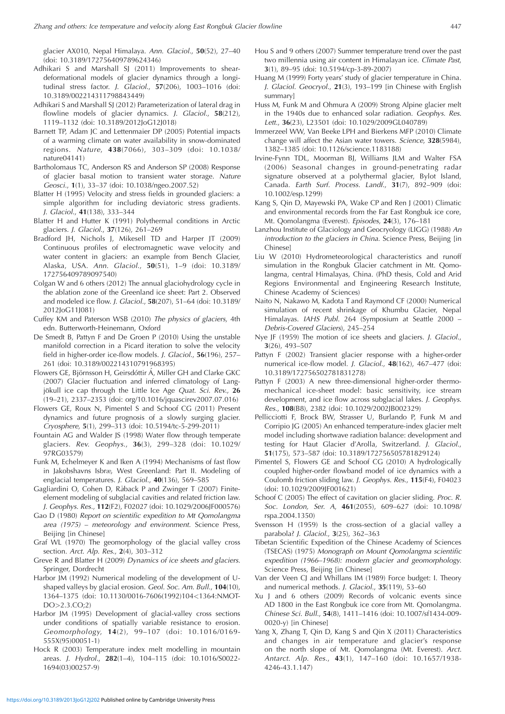glacier AX010, Nepal Himalaya. Ann. Glaciol., **50**(52), 27–40 (doi: 10.3189/172756409789624346)

- Adhikari S and Marshall SJ (2011) Improvements to sheardeformational models of glacier dynamics through a longitudinal stress factor. J. Glaciol., **57**(206), 1003–1016 (doi: 10.3189/002214311798843449)
- Adhikari S and Marshall SJ (2012) Parameterization of lateral drag in flowline models of glacier dynamics. J. Glaciol., **58**(212), 1119–1132 (doi: 10.3189/2012JoG12J018)
- Barnett TP, Adam JC and Lettenmaier DP (2005) Potential impacts of a warming climate on water availability in snow-dominated regions. Nature, **438**(7066), 303–309 (doi: 10.1038/ nature04141)
- Bartholomaus TC, Anderson RS and Anderson SP (2008) Response of glacier basal motion to transient water storage. Nature Geosci., **1**(1), 33–37 (doi: 10.1038/ngeo.2007.52)
- Blatter H (1995) Velocity and stress fields in grounded glaciers: a simple algorithm for including deviatoric stress gradients. J. Glaciol., **41**(138), 333–344
- Blatter H and Hutter K (1991) Polythermal conditions in Arctic glaciers. J. Glaciol., **37**(126), 261–269
- Bradford JH, Nichols J, Mikesell TD and Harper JT (2009) Continuous profiles of electromagnetic wave velocity and water content in glaciers: an example from Bench Glacier, Alaska, USA. Ann. Glaciol., **50**(51), 1–9 (doi: 10.3189/ 172756409789097540)
- Colgan W and 6 others (2012) The annual glaciohydrology cycle in the ablation zone of the Greenland ice sheet: Part 2. Observed and modeled ice flow. J. Glaciol., **58**(207), 51–64 (doi: 10.3189/ 2012JoG11J081)
- Cuffey KM and Paterson WSB (2010) The physics of glaciers, 4th edn. Butterworth-Heinemann, Oxford
- De Smedt B, Pattyn F and De Groen P (2010) Using the unstable manifold correction in a Picard iteration to solve the velocity field in higher-order ice-flow models. J. Glaciol., **56**(196), 257– 261 (doi: 10.3189/002214310791968395)
- Flowers GE, Björnsson H, Geirsdóttir Á, Miller GH and Clarke GKC (2007) Glacier fluctuation and inferred climatology of Langjökull ice cap through the Little Ice Age Quat. Sci. Rev., 26 (19–21), 2337–2353 (doi: org/10.1016/jquascirev2007.07.016)
- Flowers GE, Roux N, Pimentel S and Schoof CG (2011) Present dynamics and future prognosis of a slowly surging glacier. Cryosphere, **5**(1), 299–313 (doi: 10.5194/tc-5-299-2011)
- Fountain AG and Walder JS (1998) Water flow through temperate glaciers. Rev. Geophys., **36**(3), 299–328 (doi: 10.1029/ 97RG03579)
- Funk M, Echelmeyer K and Iken A (1994) Mechanisms of fast flow in Jakobshavns Isbræ, West Greenland: Part II. Modeling of englacial temperatures. J. Glaciol., **40**(136), 569–585
- Gagliardini O, Cohen D, Raback P and Zwinger T (2007) Finiteelement modeling of subglacial cavities and related friction law. J. Geophys. Res., **112**(F2), F02027 (doi: 10.1029/2006JF000576)
- Gao D (1980) Report on scientific expedition to Mt Qomolangma area (1975) – meteorology and environment. Science Press, Beijing [in Chinese]
- Graf WL (1970) The geomorphology of the glacial valley cross section. Arct. Alp. Res., **2**(4), 303–312
- Greve R and Blatter H (2009) Dynamics of ice sheets and glaciers. Springer, Dordrecht
- Harbor JM (1992) Numerical modeling of the development of Ushaped valleys by glacial erosion. Geol. Soc. Am. Bull., **104**(10), 1364–1375 (doi: 10.1130/0016-7606(1992)104*<*1364:NMOT-DO*>*2.3.CO;2)
- Harbor JM (1995) Development of glacial-valley cross sections under conditions of spatially variable resistance to erosion. Geomorphology, **14**(2), 99–107 (doi: 10.1016/0169- 555X(95)00051-1)
- Hock R (2003) Temperature index melt modelling in mountain areas. J. Hydrol., **282**(1–4), 104–115 (doi: 10.1016/S0022- 1694(03)00257-9)
- Hou S and 9 others (2007) Summer temperature trend over the past two millennia using air content in Himalayan ice. Climate Past, **3**(1), 89–95 (doi: 10.5194/cp-3-89-2007)
- Huang M (1999) Forty years' study of glacier temperature in China. J. Glaciol. Geocryol., **21**(3), 193–199 [in Chinese with English summary]
- Huss M, Funk M and Ohmura A (2009) Strong Alpine glacier melt in the 1940s due to enhanced solar radiation. Geophys. Res. Lett., **36**(23), L23501 (doi: 10.1029/2009GL040789)
- Immerzeel WW, Van Beeke LPH and Bierkens MFP (2010) Climate change will affect the Asian water towers. Science, **328**(5984), 1382–1385 (doi: 10.1126/science.1183188)
- Irvine-Fynn TDL, Moorman BJ, Williams JLM and Walter FSA (2006) Seasonal changes in ground-penetrating radar signature observed at a polythermal glacier, Bylot Island, Canada. Earth Surf. Process. Landf., **31**(7), 892–909 (doi: 10.1002/esp.1299)
- Kang S, Qin D, Mayewski PA, Wake CP and Ren J (2001) Climatic and environmental records from the Far East Rongbuk ice core, Mt. Qomolangma (Everest). Episodes, **24**(3), 176–181
- Lanzhou Institute of Glaciology and Geocryology (LIGG) (1988) An introduction to the glaciers in China. Science Press, Beijing [in Chinese]
- Liu W (2010) Hydrometeorological characteristics and runoff simulation in the Rongbuk Glacier catchment in Mt. Qomolangma, central Himalayas, China. (PhD thesis, Cold and Arid Regions Environmental and Engineering Research Institute, Chinese Academy of Sciences)
- Naito N, Nakawo M, Kadota T and Raymond CF (2000) Numerical simulation of recent shrinkage of Khumbu Glacier, Nepal Himalayas. IAHS Publ. 264 (Symposium at Seattle 2000 – Debris-Covered Glaciers), 245–254
- Nye JF (1959) The motion of ice sheets and glaciers. J. Glaciol., **3**(26), 493–507
- Pattyn F (2002) Transient glacier response with a higher-order numerical ice-flow model. J. Glaciol., **48**(162), 467–477 (doi: 10.3189/172756502781831278)
- Pattyn F (2003) A new three-dimensional higher-order thermomechanical ice-sheet model: basic sensitivity, ice stream development, and ice flow across subglacial lakes. J. Geophys. Res., **108**(B8), 2382 (doi: 10.1029/2002JB002329)
- Pellicciotti F, Brock BW, Strasser U, Burlando P, Funk M and Corripio JG (2005) An enhanced temperature-index glacier melt model including shortwave radiation balance: development and testing for Haut Glacier d'Arolla, Switzerland. J. Glaciol., **51**(175), 573–587 (doi: 10.3189/172756505781829124)
- Pimentel S, Flowers GE and Schoof CG (2010) A hydrologically coupled higher-order flowband model of ice dynamics with a Coulomb friction sliding law. J. Geophys. Res., **115**(F4), F04023 (doi: 10.1029/2009JF001621)
- Schoof C (2005) The effect of cavitation on glacier sliding. Proc. R. Soc. London, Ser. A, **461**(2055), 609–627 (doi: 10.1098/ rspa.2004.1350)
- Svensson H (1959) Is the cross-section of a glacial valley a parabola? J. Glaciol., **3**(25), 362–363
- Tibetan Scientific Expedition of the Chinese Academy of Sciences (TSECAS) (1975) Monograph on Mount Qomolangma scientific expedition (1966–1968): modern glacier and geomorphology. Science Press, Beijing [in Chinese]
- Van der Veen CJ and Whillans IM (1989) Force budget: I. Theory and numerical methods. J. Glaciol., **35**(119), 53–60
- Xu J and 6 others (2009) Records of volcanic events since AD 1800 in the East Rongbuk ice core from Mt. Qomolangma. Chinese Sci. Bull., **54**(8), 1411–1416 (doi: 10.1007/sf1434-009- 0020-y) [in Chinese]
- Yang X, Zhang T, Qin D, Kang S and Qin X (2011) Characteristics and changes in air temperature and glacier's response on the north slope of Mt. Qomolangma (Mt. Everest). Arct. Antarct. Alp. Res., **43**(1), 147–160 (doi: 10.1657/1938- 4246-43.1.147)